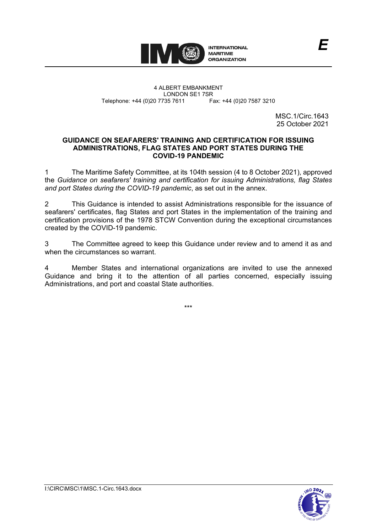

4 ALBERT EMBANKMENT Telephone: +44 (0)20 7735 7611

LONDON SE1 7SR<br>735 7611 Fax: +44 (0)20 7587 3210

MSC.1/Circ.1643 25 October 2021

*E*

### **GUIDANCE ON SEAFARERS' TRAINING AND CERTIFICATION FOR ISSUING ADMINISTRATIONS, FLAG STATES AND PORT STATES DURING THE COVID-19 PANDEMIC**

1 The Maritime Safety Committee, at its 104th session (4 to 8 October 2021), approved the *Guidance on seafarers' training and certification for issuing Administrations, flag States and port States during the COVID-19 pandemic*, as set out in the annex.

2 This Guidance is intended to assist Administrations responsible for the issuance of seafarers' certificates, flag States and port States in the implementation of the training and certification provisions of the 1978 STCW Convention during the exceptional circumstances created by the COVID-19 pandemic.

3 The Committee agreed to keep this Guidance under review and to amend it as and when the circumstances so warrant.

Member States and international organizations are invited to use the annexed Guidance and bring it to the attention of all parties concerned, especially issuing Administrations, and port and coastal State authorities.

\*\*\*

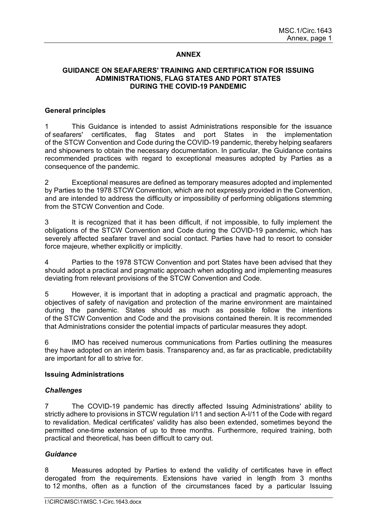# **ANNEX**

## **GUIDANCE ON SEAFARERS' TRAINING AND CERTIFICATION FOR ISSUING ADMINISTRATIONS, FLAG STATES AND PORT STATES DURING THE COVID-19 PANDEMIC**

### **General principles**

1 This Guidance is intended to assist Administrations responsible for the issuance of seafarers' certificates, flag States and port States in the implementation of the STCW Convention and Code during the COVID-19 pandemic, thereby helping seafarers and shipowners to obtain the necessary documentation. In particular, the Guidance contains recommended practices with regard to exceptional measures adopted by Parties as a consequence of the pandemic.

2 Exceptional measures are defined as temporary measures adopted and implemented by Parties to the 1978 STCW Convention, which are not expressly provided in the Convention, and are intended to address the difficulty or impossibility of performing obligations stemming from the STCW Convention and Code.

3 It is recognized that it has been difficult, if not impossible, to fully implement the obligations of the STCW Convention and Code during the COVID-19 pandemic, which has severely affected seafarer travel and social contact. Parties have had to resort to consider force majeure*,* whether explicitly or implicitly.

4 Parties to the 1978 STCW Convention and port States have been advised that they should adopt a practical and pragmatic approach when adopting and implementing measures deviating from relevant provisions of the STCW Convention and Code.

5 However, it is important that in adopting a practical and pragmatic approach, the objectives of safety of navigation and protection of the marine environment are maintained during the pandemic. States should as much as possible follow the intentions of the STCW Convention and Code and the provisions contained therein. It is recommended that Administrations consider the potential impacts of particular measures they adopt.

6 IMO has received numerous communications from Parties outlining the measures they have adopted on an interim basis. Transparency and, as far as practicable, predictability are important for all to strive for.

## **Issuing Administrations**

## *Challenges*

7 The COVID-19 pandemic has directly affected Issuing Administrations' ability to strictly adhere to provisions in STCW regulation I/11 and section A-I/11 of the Code with regard to revalidation. Medical certificates' validity has also been extended, sometimes beyond the permitted one-time extension of up to three months. Furthermore, required training, both practical and theoretical, has been difficult to carry out.

#### *Guidance*

8 Measures adopted by Parties to extend the validity of certificates have in effect derogated from the requirements. Extensions have varied in length from 3 months to 12 months, often as a function of the circumstances faced by a particular Issuing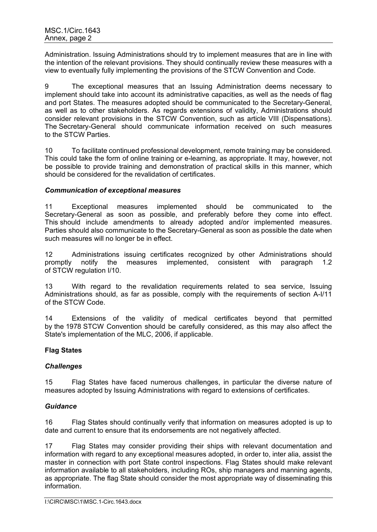Administration. Issuing Administrations should try to implement measures that are in line with the intention of the relevant provisions. They should continually review these measures with a view to eventually fully implementing the provisions of the STCW Convention and Code.

9 The exceptional measures that an Issuing Administration deems necessary to implement should take into account its administrative capacities, as well as the needs of flag and port States. The measures adopted should be communicated to the Secretary-General, as well as to other stakeholders. As regards extensions of validity, Administrations should consider relevant provisions in the STCW Convention, such as article VIII (Dispensations). The Secretary-General should communicate information received on such measures to the STCW Parties.

10 To facilitate continued professional development, remote training may be considered. This could take the form of online training or e-learning, as appropriate. It may, however, not be possible to provide training and demonstration of practical skills in this manner, which should be considered for the revalidation of certificates.

### *Communication of exceptional measures*

11 Exceptional measures implemented should be communicated to the Secretary-General as soon as possible, and preferably before they come into effect. This should include amendments to already adopted and/or implemented measures. Parties should also communicate to the Secretary-General as soon as possible the date when such measures will no longer be in effect.

12 Administrations issuing certificates recognized by other Administrations should promptly notify the measures implemented, consistent with paragraph 1.2 of STCW regulation I/10.

13 With regard to the revalidation requirements related to sea service, Issuing Administrations should, as far as possible, comply with the requirements of section A-I/11 of the STCW Code.

14 Extensions of the validity of medical certificates beyond that permitted by the 1978 STCW Convention should be carefully considered, as this may also affect the State's implementation of the MLC, 2006, if applicable.

## **Flag States**

## *Challenges*

15 Flag States have faced numerous challenges, in particular the diverse nature of measures adopted by Issuing Administrations with regard to extensions of certificates.

## *Guidance*

16 Flag States should continually verify that information on measures adopted is up to date and current to ensure that its endorsements are not negatively affected.

17 Flag States may consider providing their ships with relevant documentation and information with regard to any exceptional measures adopted, in order to, inter alia, assist the master in connection with port State control inspections. Flag States should make relevant information available to all stakeholders, including ROs, ship managers and manning agents, as appropriate. The flag State should consider the most appropriate way of disseminating this information.